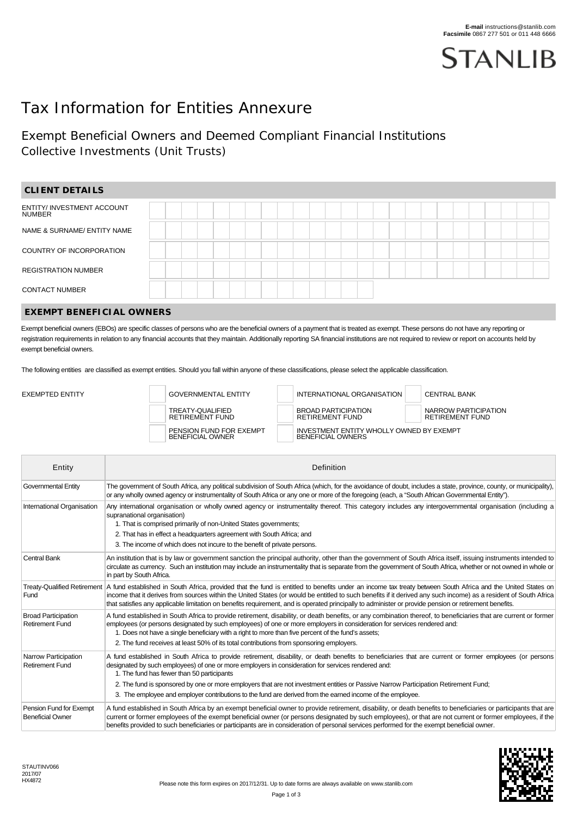

# Tax Information for Entities Annexure

## Exempt Beneficial Owners and Deemed Compliant Financial Institutions Collective Investments (Unit Trusts)

| <b>CLIENT DETAILS</b>                |  |  |  |  |  |  |  |  |  |  |  |  |  |
|--------------------------------------|--|--|--|--|--|--|--|--|--|--|--|--|--|
| ENTITY/ INVESTMENT ACCOUNT<br>NUMBER |  |  |  |  |  |  |  |  |  |  |  |  |  |
| NAME & SURNAME/ ENTITY NAME          |  |  |  |  |  |  |  |  |  |  |  |  |  |
| COUNTRY OF INCORPORATION             |  |  |  |  |  |  |  |  |  |  |  |  |  |
| <b>REGISTRATION NUMBER</b>           |  |  |  |  |  |  |  |  |  |  |  |  |  |
| <b>CONTACT NUMBER</b>                |  |  |  |  |  |  |  |  |  |  |  |  |  |
|                                      |  |  |  |  |  |  |  |  |  |  |  |  |  |

#### **EXEMPT BENEFICIAL OWNERS**

Exempt beneficial owners (EBOs) are specific classes of persons who are the beneficial owners of a payment that is treated as exempt. These persons do not have any reporting or registration requirements in relation to any financial accounts that they maintain. Additionally reporting SA financial institutions are not required to review or report on accounts held by exempt beneficial owners.

The following entities are classified as exempt entities. Should you fall within anyone of these classifications, please select the applicable classification.

| EXEMPTED ENTITY |  | <b>GOVERNMENTAL ENTITY</b>                         |  | INTERNATIONAL ORGANISATION                                           |  | <b>CENTRAL BANK</b>                            |  |
|-----------------|--|----------------------------------------------------|--|----------------------------------------------------------------------|--|------------------------------------------------|--|
|                 |  | TREATY-QUALIFIED<br><b>RETIREMENT FUND</b>         |  | <b>BROAD PARTICIPATION</b><br><b>RETIREMENT FUND</b>                 |  | NARROW PARTICIPATION<br><b>RETIREMENT FUND</b> |  |
|                 |  | PENSION FUND FOR EXEMPT<br><b>BENEFICIAL OWNER</b> |  | INVESTMENT ENTITY WHOLLY OWNED BY EXEMPT<br><b>BENEFICIAL OWNERS</b> |  |                                                |  |

| Entity                                               | Definition                                                                                                                                                                                                                                                                                                                                                                                                                                                                                                              |
|------------------------------------------------------|-------------------------------------------------------------------------------------------------------------------------------------------------------------------------------------------------------------------------------------------------------------------------------------------------------------------------------------------------------------------------------------------------------------------------------------------------------------------------------------------------------------------------|
| Governmental Entity                                  | The government of South Africa, any political subdivision of South Africa (which, for the avoidance of doubt, includes a state, province, county, or municipality),<br>or any wholly owned agency or instrumentality of South Africa or any one or more of the foregoing (each, a "South African Governmental Entity").                                                                                                                                                                                                 |
| International Organisation                           | Any international organisation or wholly owned agency or instrumentality thereof. This category includes any intergovernmental organisation (including a<br>supranational organisation)<br>1. That is comprised primarily of non-United States governments;                                                                                                                                                                                                                                                             |
|                                                      | 2. That has in effect a headquarters agreement with South Africa; and                                                                                                                                                                                                                                                                                                                                                                                                                                                   |
|                                                      | 3. The income of which does not incure to the benefit of private persons.                                                                                                                                                                                                                                                                                                                                                                                                                                               |
| Central Bank                                         | An institution that is by law or government sanction the principal authority, other than the government of South Africa itself, issuing instruments intended to<br>circulate as currency. Such an institution may include an instrumentality that is separate from the government of South Africa, whether or not owned in whole or<br>in part by South Africa.                                                                                                                                                         |
| Fund                                                 | Treaty-Qualified Retirement   A fund established in South Africa, provided that the fund is entitled to benefits under an income tax treaty between South Africa and the United States on<br>income that it derives from sources within the United States (or would be entitled to such benefits if it derived any such income) as a resident of South Africa<br>that satisfies any applicable limitation on benefits requirement, and is operated principally to administer or provide pension or retirement benefits. |
| <b>Broad Participation</b><br><b>Retirement Fund</b> | A fund established in South Africa to provide retirement, disability, or death benefits, or any combination thereof, to beneficiaries that are current or former<br>employees (or persons designated by such employees) of one or more employers in consideration for services rendered and:<br>1. Does not have a single beneficiary with a right to more than five percent of the fund's assets;                                                                                                                      |
|                                                      | 2. The fund receives at least 50% of its total contributions from sponsoring employers.                                                                                                                                                                                                                                                                                                                                                                                                                                 |
| Narrow Participation<br><b>Retirement Fund</b>       | A fund established in South Africa to provide retirement, disability, or death benefits to beneficiaries that are current or former employees (or persons<br>designated by such employees) of one or more employers in consideration for services rendered and:<br>1. The fund has fewer than 50 participants                                                                                                                                                                                                           |
|                                                      | 2. The fund is sponsored by one or more employers that are not investment entities or Passive Narrow Participation Retirement Fund;                                                                                                                                                                                                                                                                                                                                                                                     |
|                                                      | 3. The employee and employer contributions to the fund are derived from the earned income of the employee.                                                                                                                                                                                                                                                                                                                                                                                                              |
| Pension Fund for Exempt<br><b>Beneficial Owner</b>   | A fund established in South Africa by an exempt beneficial owner to provide retirement, disability, or death benefits to beneficiaries or participants that are<br>current or former employees of the exempt beneficial owner (or persons designated by such employees), or that are not current or former employees, if the<br>benefits provided to such beneficiaries or participants are in consideration of personal services performed for the exempt beneficial owner.                                            |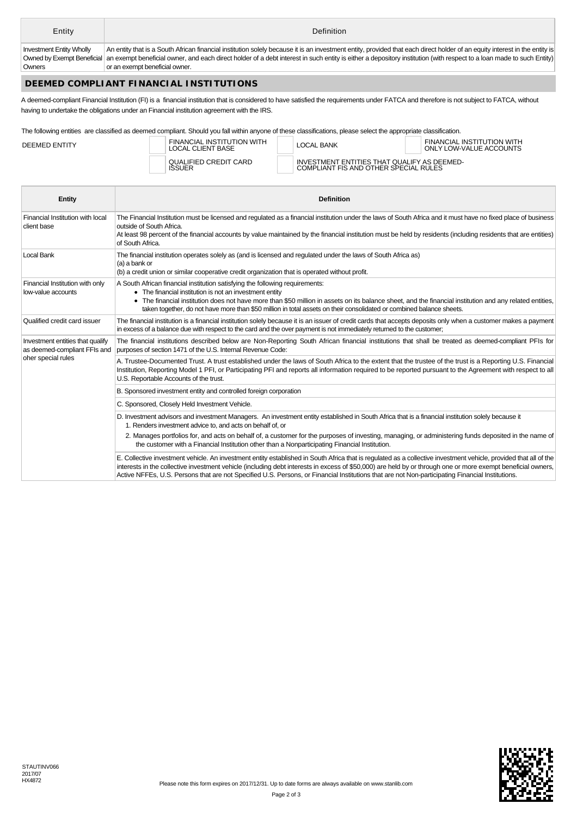| Entity                          | Definition                                                                                                                                                                                      |
|---------------------------------|-------------------------------------------------------------------------------------------------------------------------------------------------------------------------------------------------|
| <b>Investment Entity Wholly</b> | An entity that is a South African financial institution solely because it is an investment entity, provided that each direct holder of an equity interest in the entity is                      |
|                                 | Owned by Exempt Beneficial an exempt beneficial owner, and each direct holder of a debt interest in such entity is either a depository institution (with respect to a loan made to such Entity) |
| Owners                          | or an exempt beneficial owner.                                                                                                                                                                  |

### **DEEMED COMPLIANT FINANCIAL INSTITUTIONS**

A deemed-compliant Financial Institution (FI) is a financial institution that is considered to have satisfied the requirements under FATCA and therefore is not subject to FATCA, without having to undertake the obligations under an Financial institution agreement with the IRS.

The following entities are classified as deemed compliant. Should you fall within anyone of these classifications, please select the appropriate classification.

| DEEMED ENTITY | FINANCIAL INSTITUTION WITH<br><b>LOCAL CLIENT BASE</b> |  | LOCAL BANK                                                                           | FINANCIAL INSTITUTION WITH<br>ONLY LOW-VALUE ACCOUNTS |  |  |
|---------------|--------------------------------------------------------|--|--------------------------------------------------------------------------------------|-------------------------------------------------------|--|--|
|               | QUALIFIED CREDIT CARD<br><b>ISSUER</b>                 |  | INVESTMENT ENTITIES THAT QUALIFY AS DEEMED-<br>COMPLIANT FIS AND OTHER SPECIAL RULES |                                                       |  |  |

| <b>Entity</b>                                                                          | <b>Definition</b>                                                                                                                                                                                                                                                                                                                                                                                                                                                                     |
|----------------------------------------------------------------------------------------|---------------------------------------------------------------------------------------------------------------------------------------------------------------------------------------------------------------------------------------------------------------------------------------------------------------------------------------------------------------------------------------------------------------------------------------------------------------------------------------|
| Financial Institution with local<br>client base                                        | The Financial Institution must be licensed and regulated as a financial institution under the laws of South Africa and it must have no fixed place of business<br>outside of South Africa.<br>At least 98 percent of the financial accounts by value maintained by the financial institution must be held by residents (including residents that are entities)<br>of South Africa.                                                                                                    |
| Local Bank                                                                             | The financial institution operates solely as (and is licensed and regulated under the laws of South Africa as)<br>(a) a bank or<br>(b) a credit union or similar cooperative credit organization that is operated without profit.                                                                                                                                                                                                                                                     |
| Financial Institution with only<br>low-value accounts                                  | A South African financial institution satisfying the following requirements:<br>• The financial institution is not an investment entity<br>• The financial institution does not have more than \$50 million in assets on its balance sheet, and the financial institution and any related entities,<br>taken together, do not have more than \$50 million in total assets on their consolidated or combined balance sheets.                                                           |
| Qualified credit card issuer                                                           | The financial institution is a financial institution solely because it is an issuer of credit cards that accepts deposits only when a customer makes a payment<br>in excess of a balance due with respect to the card and the over payment is not immediately returned to the customer;                                                                                                                                                                                               |
| Investment entities that qualify<br>as deemed-compliant FFIs and<br>oher special rules | The financial institutions described below are Non-Reporting South African financial institutions that shall be treated as deemed-compliant PFIs for<br>purposes of section 1471 of the U.S. Internal Revenue Code:                                                                                                                                                                                                                                                                   |
|                                                                                        | A. Trustee-Documented Trust. A trust established under the laws of South Africa to the extent that the trustee of the trust is a Reporting U.S. Financial<br>Institution, Reporting Model 1 PFI, or Participating PFI and reports all information required to be reported pursuant to the Agreement with respect to all<br>U.S. Reportable Accounts of the trust.                                                                                                                     |
|                                                                                        | B. Sponsored investment entity and controlled foreign corporation                                                                                                                                                                                                                                                                                                                                                                                                                     |
|                                                                                        | C. Sponsored, Closely Held Investment Vehicle.                                                                                                                                                                                                                                                                                                                                                                                                                                        |
|                                                                                        | D. Investment advisors and investment Managers. An investment entity established in South Africa that is a financial institution solely because it<br>1. Renders investment advice to, and acts on behalf of, or                                                                                                                                                                                                                                                                      |
|                                                                                        | 2. Manages portfolios for, and acts on behalf of, a customer for the purposes of investing, managing, or administering funds deposited in the name of<br>the customer with a Financial Institution other than a Nonparticipating Financial Institution.                                                                                                                                                                                                                               |
|                                                                                        | E. Collective investment vehicle. An investment entity established in South Africa that is regulated as a collective investment vehicle, provided that all of the<br>interests in the collective investment vehicle (including debt interests in excess of \$50,000) are held by or through one or more exempt beneficial owners,<br>Active NFFEs, U.S. Persons that are not Specified U.S. Persons, or Financial Institutions that are not Non-participating Financial Institutions. |